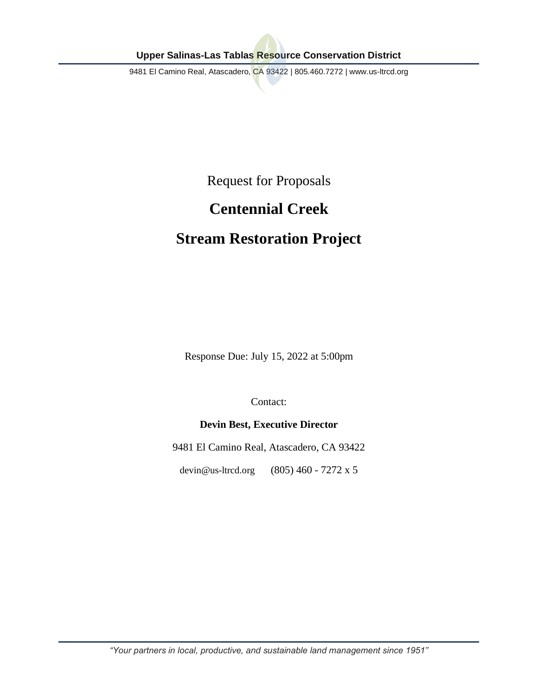9481 El Camino Real, Atascadero, CA 93422 | 805.460.7272 | www.us-ltrcd.org

Request for Proposals

# **Centennial Creek**

# **Stream Restoration Project**

Response Due: July 15, 2022 at 5:00pm

Contact:

# **Devin Best, Executive Director**

9481 El Camino Real, Atascadero, CA 93422

devin@us-ltrcd.org (805) 460 - 7272 x 5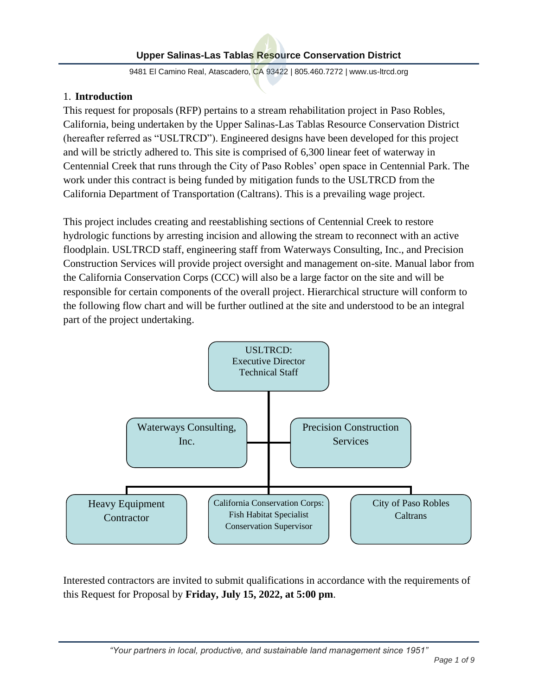9481 El Camino Real, Atascadero, CA 93422 | 805.460.7272 | www.us-ltrcd.org

# 1. **Introduction**

This request for proposals (RFP) pertains to a stream rehabilitation project in Paso Robles, California, being undertaken by the Upper Salinas-Las Tablas Resource Conservation District (hereafter referred as "USLTRCD"). Engineered designs have been developed for this project and will be strictly adhered to. This site is comprised of 6,300 linear feet of waterway in Centennial Creek that runs through the City of Paso Robles' open space in Centennial Park. The work under this contract is being funded by mitigation funds to the USLTRCD from the California Department of Transportation (Caltrans). This is a prevailing wage project.

This project includes creating and reestablishing sections of Centennial Creek to restore hydrologic functions by arresting incision and allowing the stream to reconnect with an active floodplain. USLTRCD staff, engineering staff from Waterways Consulting, Inc., and Precision Construction Services will provide project oversight and management on-site. Manual labor from the California Conservation Corps (CCC) will also be a large factor on the site and will be responsible for certain components of the overall project. Hierarchical structure will conform to the following flow chart and will be further outlined at the site and understood to be an integral part of the project undertaking.



Interested contractors are invited to submit qualifications in accordance with the requirements of this Request for Proposal by **Friday, July 15, 2022, at 5:00 pm**.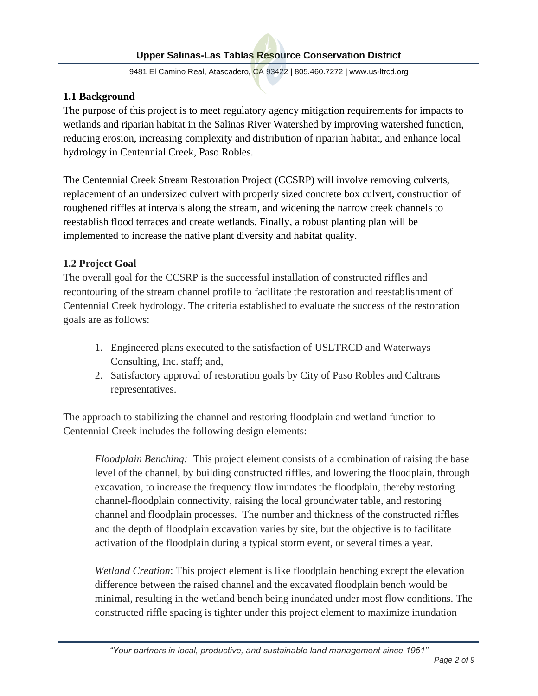9481 El Camino Real, Atascadero, CA 93422 | 805.460.7272 | www.us-ltrcd.org

### **1.1 Background**

The purpose of this project is to meet regulatory agency mitigation requirements for impacts to wetlands and riparian habitat in the Salinas River Watershed by improving watershed function, reducing erosion, increasing complexity and distribution of riparian habitat, and enhance local hydrology in Centennial Creek, Paso Robles.

The Centennial Creek Stream Restoration Project (CCSRP) will involve removing culverts, replacement of an undersized culvert with properly sized concrete box culvert, construction of roughened riffles at intervals along the stream, and widening the narrow creek channels to reestablish flood terraces and create wetlands. Finally, a robust planting plan will be implemented to increase the native plant diversity and habitat quality.

### **1.2 Project Goal**

The overall goal for the CCSRP is the successful installation of constructed riffles and recontouring of the stream channel profile to facilitate the restoration and reestablishment of Centennial Creek hydrology. The criteria established to evaluate the success of the restoration goals are as follows:

- 1. Engineered plans executed to the satisfaction of USLTRCD and Waterways Consulting, Inc. staff; and,
- 2. Satisfactory approval of restoration goals by City of Paso Robles and Caltrans representatives.

The approach to stabilizing the channel and restoring floodplain and wetland function to Centennial Creek includes the following design elements:

*Floodplain Benching:* This project element consists of a combination of raising the base level of the channel, by building constructed riffles, and lowering the floodplain, through excavation, to increase the frequency flow inundates the floodplain, thereby restoring channel-floodplain connectivity, raising the local groundwater table, and restoring channel and floodplain processes. The number and thickness of the constructed riffles and the depth of floodplain excavation varies by site, but the objective is to facilitate activation of the floodplain during a typical storm event, or several times a year.

*Wetland Creation*: This project element is like floodplain benching except the elevation difference between the raised channel and the excavated floodplain bench would be minimal, resulting in the wetland bench being inundated under most flow conditions. The constructed riffle spacing is tighter under this project element to maximize inundation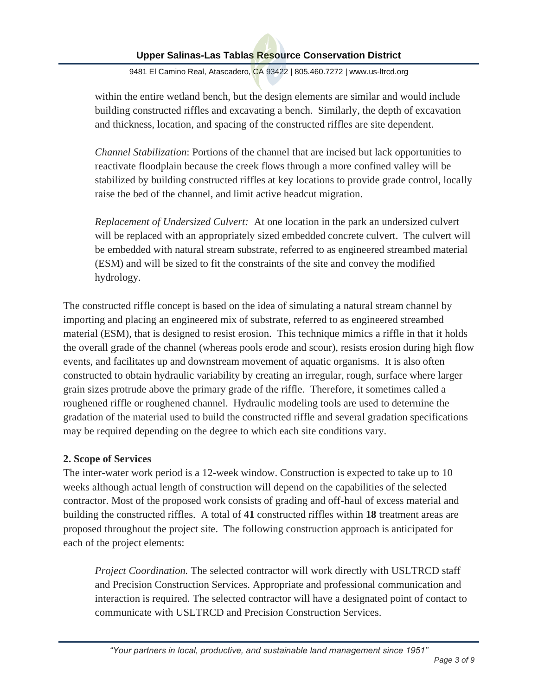9481 El Camino Real, Atascadero, CA 93422 | 805.460.7272 | www.us-ltrcd.org

within the entire wetland bench, but the design elements are similar and would include building constructed riffles and excavating a bench. Similarly, the depth of excavation and thickness, location, and spacing of the constructed riffles are site dependent.

*Channel Stabilization*: Portions of the channel that are incised but lack opportunities to reactivate floodplain because the creek flows through a more confined valley will be stabilized by building constructed riffles at key locations to provide grade control, locally raise the bed of the channel, and limit active headcut migration.

*Replacement of Undersized Culvert:* At one location in the park an undersized culvert will be replaced with an appropriately sized embedded concrete culvert. The culvert will be embedded with natural stream substrate, referred to as engineered streambed material (ESM) and will be sized to fit the constraints of the site and convey the modified hydrology.

The constructed riffle concept is based on the idea of simulating a natural stream channel by importing and placing an engineered mix of substrate, referred to as engineered streambed material (ESM), that is designed to resist erosion. This technique mimics a riffle in that it holds the overall grade of the channel (whereas pools erode and scour), resists erosion during high flow events, and facilitates up and downstream movement of aquatic organisms. It is also often constructed to obtain hydraulic variability by creating an irregular, rough, surface where larger grain sizes protrude above the primary grade of the riffle. Therefore, it sometimes called a roughened riffle or roughened channel. Hydraulic modeling tools are used to determine the gradation of the material used to build the constructed riffle and several gradation specifications may be required depending on the degree to which each site conditions vary.

### **2. Scope of Services**

The inter-water work period is a 12-week window. Construction is expected to take up to 10 weeks although actual length of construction will depend on the capabilities of the selected contractor. Most of the proposed work consists of grading and off-haul of excess material and building the constructed riffles. A total of **41** constructed riffles within **18** treatment areas are proposed throughout the project site. The following construction approach is anticipated for each of the project elements:

*Project Coordination.* The selected contractor will work directly with USLTRCD staff and Precision Construction Services. Appropriate and professional communication and interaction is required. The selected contractor will have a designated point of contact to communicate with USLTRCD and Precision Construction Services.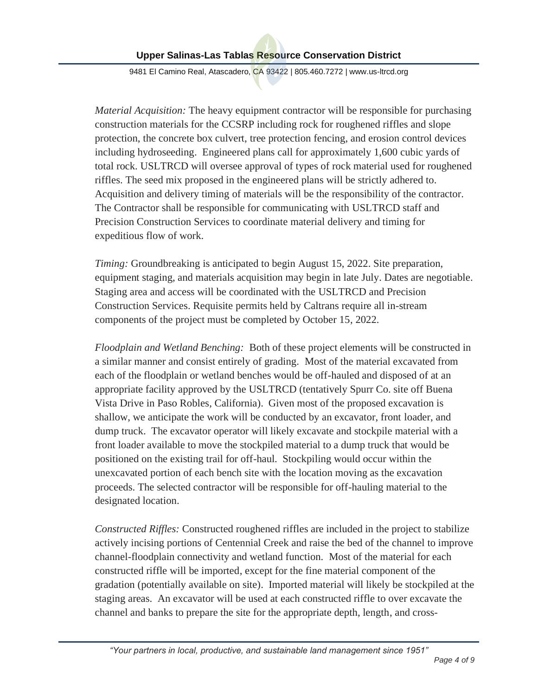9481 El Camino Real, Atascadero, CA 93422 | 805.460.7272 | www.us-ltrcd.org

*Material Acquisition:* The heavy equipment contractor will be responsible for purchasing construction materials for the CCSRP including rock for roughened riffles and slope protection, the concrete box culvert, tree protection fencing, and erosion control devices including hydroseeding. Engineered plans call for approximately 1,600 cubic yards of total rock. USLTRCD will oversee approval of types of rock material used for roughened riffles. The seed mix proposed in the engineered plans will be strictly adhered to. Acquisition and delivery timing of materials will be the responsibility of the contractor. The Contractor shall be responsible for communicating with USLTRCD staff and Precision Construction Services to coordinate material delivery and timing for expeditious flow of work.

*Timing:* Groundbreaking is anticipated to begin August 15, 2022. Site preparation, equipment staging, and materials acquisition may begin in late July. Dates are negotiable. Staging area and access will be coordinated with the USLTRCD and Precision Construction Services. Requisite permits held by Caltrans require all in-stream components of the project must be completed by October 15, 2022.

*Floodplain and Wetland Benching:* Both of these project elements will be constructed in a similar manner and consist entirely of grading. Most of the material excavated from each of the floodplain or wetland benches would be off-hauled and disposed of at an appropriate facility approved by the USLTRCD (tentatively Spurr Co. site off Buena Vista Drive in Paso Robles, California). Given most of the proposed excavation is shallow, we anticipate the work will be conducted by an excavator, front loader, and dump truck. The excavator operator will likely excavate and stockpile material with a front loader available to move the stockpiled material to a dump truck that would be positioned on the existing trail for off-haul. Stockpiling would occur within the unexcavated portion of each bench site with the location moving as the excavation proceeds. The selected contractor will be responsible for off-hauling material to the designated location.

*Constructed Riffles:* Constructed roughened riffles are included in the project to stabilize actively incising portions of Centennial Creek and raise the bed of the channel to improve channel-floodplain connectivity and wetland function. Most of the material for each constructed riffle will be imported, except for the fine material component of the gradation (potentially available on site). Imported material will likely be stockpiled at the staging areas. An excavator will be used at each constructed riffle to over excavate the channel and banks to prepare the site for the appropriate depth, length, and cross-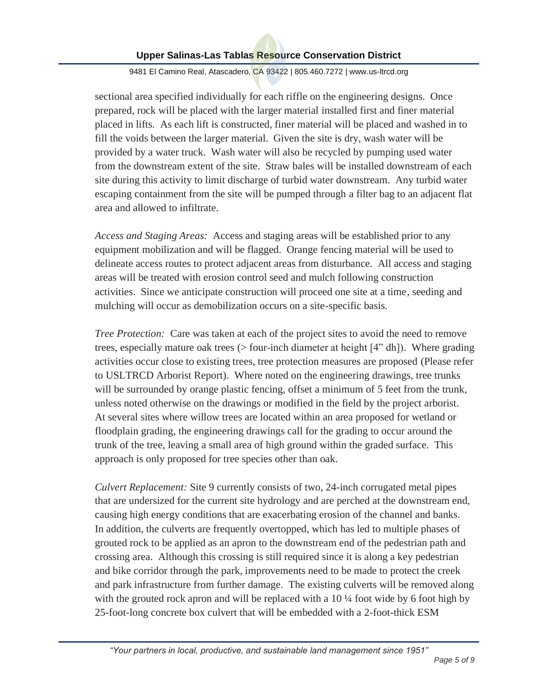9481 El Camino Real, Atascadero, CA 93422 | 805.460.7272 | www.us-ltrcd.org

sectional area specified individually for each riffle on the engineering designs. Once prepared, rock will be placed with the larger material installed first and finer material placed in lifts. As each lift is constructed, finer material will be placed and washed in to fill the voids between the larger material. Given the site is dry, wash water will be provided by a water truck. Wash water will also be recycled by pumping used water from the downstream extent of the site. Straw bales will be installed downstream of each site during this activity to limit discharge of turbid water downstream. Any turbid water escaping containment from the site will be pumped through a filter bag to an adjacent flat area and allowed to infiltrate.

*Access and Staging Areas:*Access and staging areas will be established prior to any equipment mobilization and will be flagged. Orange fencing material will be used to delineate access routes to protect adjacent areas from disturbance. All access and staging areas will be treated with erosion control seed and mulch following construction activities. Since we anticipate construction will proceed one site at a time, seeding and mulching will occur as demobilization occurs on a site-specific basis.

*Tree Protection:* Care was taken at each of the project sites to avoid the need to remove trees, especially mature oak trees (> four-inch diameter at height [4" dh]). Where grading activities occur close to existing trees, tree protection measures are proposed (Please refer to USLTRCD Arborist Report). Where noted on the engineering drawings, tree trunks will be surrounded by orange plastic fencing, offset a minimum of 5 feet from the trunk, unless noted otherwise on the drawings or modified in the field by the project arborist. At several sites where willow trees are located within an area proposed for wetland or floodplain grading, the engineering drawings call for the grading to occur around the trunk of the tree, leaving a small area of high ground within the graded surface. This approach is only proposed for tree species other than oak.

*Culvert Replacement:* Site 9 currently consists of two, 24-inch corrugated metal pipes that are undersized for the current site hydrology and are perched at the downstream end, causing high energy conditions that are exacerbating erosion of the channel and banks. In addition, the culverts are frequently overtopped, which has led to multiple phases of grouted rock to be applied as an apron to the downstream end of the pedestrian path and crossing area. Although this crossing is still required since it is along a key pedestrian and bike corridor through the park, improvements need to be made to protect the creek and park infrastructure from further damage. The existing culverts will be removed along with the grouted rock apron and will be replaced with a  $10\frac{1}{4}$  foot wide by 6 foot high by 25-foot-long concrete box culvert that will be embedded with a 2-foot-thick ESM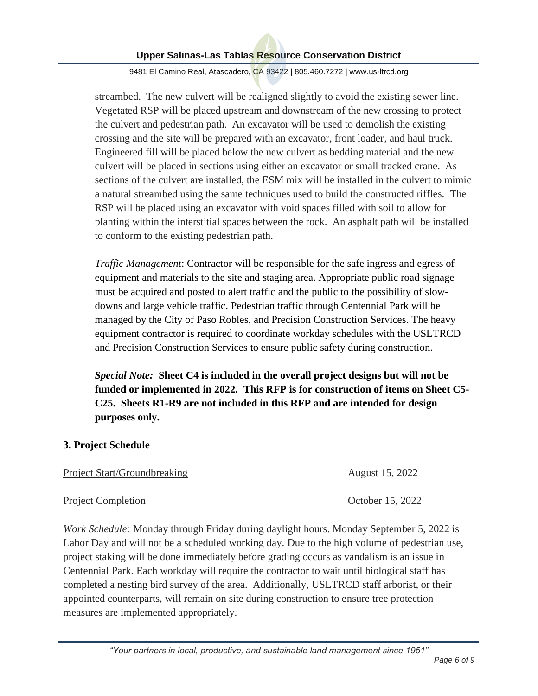9481 El Camino Real, Atascadero, CA 93422 | 805.460.7272 | www.us-ltrcd.org

streambed. The new culvert will be realigned slightly to avoid the existing sewer line. Vegetated RSP will be placed upstream and downstream of the new crossing to protect the culvert and pedestrian path. An excavator will be used to demolish the existing crossing and the site will be prepared with an excavator, front loader, and haul truck. Engineered fill will be placed below the new culvert as bedding material and the new culvert will be placed in sections using either an excavator or small tracked crane. As sections of the culvert are installed, the ESM mix will be installed in the culvert to mimic a natural streambed using the same techniques used to build the constructed riffles. The RSP will be placed using an excavator with void spaces filled with soil to allow for planting within the interstitial spaces between the rock. An asphalt path will be installed to conform to the existing pedestrian path.

*Traffic Management*: Contractor will be responsible for the safe ingress and egress of equipment and materials to the site and staging area. Appropriate public road signage must be acquired and posted to alert traffic and the public to the possibility of slowdowns and large vehicle traffic. Pedestrian traffic through Centennial Park will be managed by the City of Paso Robles, and Precision Construction Services. The heavy equipment contractor is required to coordinate workday schedules with the USLTRCD and Precision Construction Services to ensure public safety during construction.

*Special Note:* **Sheet C4 is included in the overall project designs but will not be funded or implemented in 2022. This RFP is for construction of items on Sheet C5- C25. Sheets R1-R9 are not included in this RFP and are intended for design purposes only.**

### **3. Project Schedule**

| Project Start/Groundbreaking |  |
|------------------------------|--|
|                              |  |

*Work Schedule:* Monday through Friday during daylight hours. Monday September 5, 2022 is Labor Day and will not be a scheduled working day. Due to the high volume of pedestrian use, project staking will be done immediately before grading occurs as vandalism is an issue in Centennial Park. Each workday will require the contractor to wait until biological staff has completed a nesting bird survey of the area. Additionally, USLTRCD staff arborist, or their appointed counterparts, will remain on site during construction to ensure tree protection measures are implemented appropriately.

August 15, 2022

Project Completion Contract Completion Contract Completion Contract Completion Contract Completion Contract Completion Contract Completion Contract Completion Contract Completion Contract Completion Contract Completion Con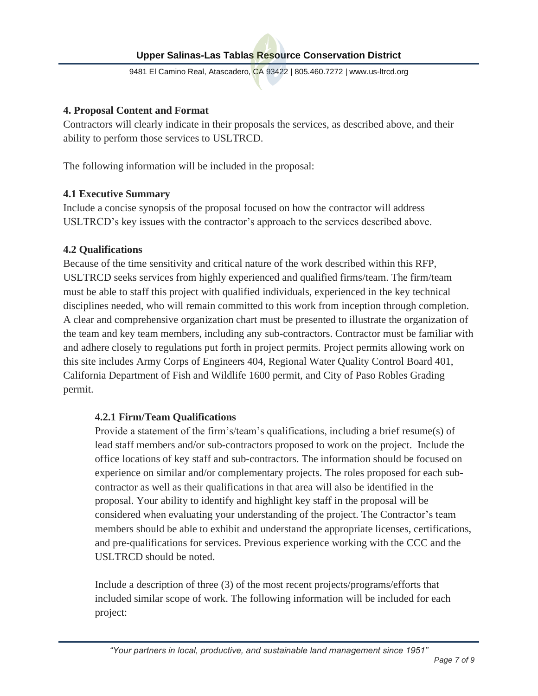9481 El Camino Real, Atascadero, CA 93422 | 805.460.7272 | www.us-ltrcd.org

### **4. Proposal Content and Format**

Contractors will clearly indicate in their proposals the services, as described above, and their ability to perform those services to USLTRCD.

The following information will be included in the proposal:

### **4.1 Executive Summary**

Include a concise synopsis of the proposal focused on how the contractor will address USLTRCD's key issues with the contractor's approach to the services described above.

### **4.2 Qualifications**

Because of the time sensitivity and critical nature of the work described within this RFP, USLTRCD seeks services from highly experienced and qualified firms/team. The firm/team must be able to staff this project with qualified individuals, experienced in the key technical disciplines needed, who will remain committed to this work from inception through completion. A clear and comprehensive organization chart must be presented to illustrate the organization of the team and key team members, including any sub-contractors. Contractor must be familiar with and adhere closely to regulations put forth in project permits. Project permits allowing work on this site includes Army Corps of Engineers 404, Regional Water Quality Control Board 401, California Department of Fish and Wildlife 1600 permit, and City of Paso Robles Grading permit.

### **4.2.1 Firm/Team Qualifications**

Provide a statement of the firm's/team's qualifications, including a brief resume(s) of lead staff members and/or sub-contractors proposed to work on the project. Include the office locations of key staff and sub-contractors. The information should be focused on experience on similar and/or complementary projects. The roles proposed for each subcontractor as well as their qualifications in that area will also be identified in the proposal. Your ability to identify and highlight key staff in the proposal will be considered when evaluating your understanding of the project. The Contractor's team members should be able to exhibit and understand the appropriate licenses, certifications, and pre-qualifications for services. Previous experience working with the CCC and the USLTRCD should be noted.

Include a description of three (3) of the most recent projects/programs/efforts that included similar scope of work. The following information will be included for each project: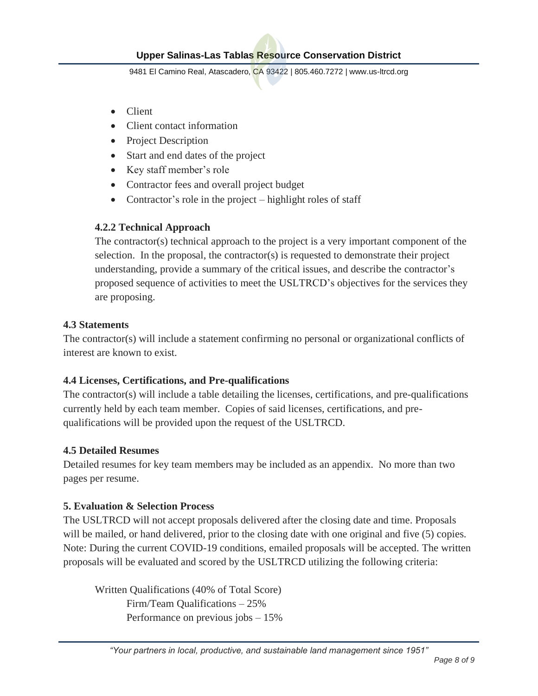9481 El Camino Real, Atascadero, CA 93422 | 805.460.7272 | www.us-ltrcd.org

- Client
- Client contact information
- Project Description
- Start and end dates of the project
- Key staff member's role
- Contractor fees and overall project budget
- Contractor's role in the project highlight roles of staff

### **4.2.2 Technical Approach**

The contractor(s) technical approach to the project is a very important component of the selection. In the proposal, the contractor(s) is requested to demonstrate their project understanding, provide a summary of the critical issues, and describe the contractor's proposed sequence of activities to meet the USLTRCD's objectives for the services they are proposing.

### **4.3 Statements**

The contractor(s) will include a statement confirming no personal or organizational conflicts of interest are known to exist.

### **4.4 Licenses, Certifications, and Pre-qualifications**

The contractor(s) will include a table detailing the licenses, certifications, and pre-qualifications currently held by each team member. Copies of said licenses, certifications, and prequalifications will be provided upon the request of the USLTRCD.

### **4.5 Detailed Resumes**

Detailed resumes for key team members may be included as an appendix. No more than two pages per resume.

### **5. Evaluation & Selection Process**

The USLTRCD will not accept proposals delivered after the closing date and time. Proposals will be mailed, or hand delivered, prior to the closing date with one original and five (5) copies. Note: During the current COVID-19 conditions, emailed proposals will be accepted. The written proposals will be evaluated and scored by the USLTRCD utilizing the following criteria:

Written Qualifications (40% of Total Score) Firm/Team Qualifications – 25% Performance on previous jobs – 15%